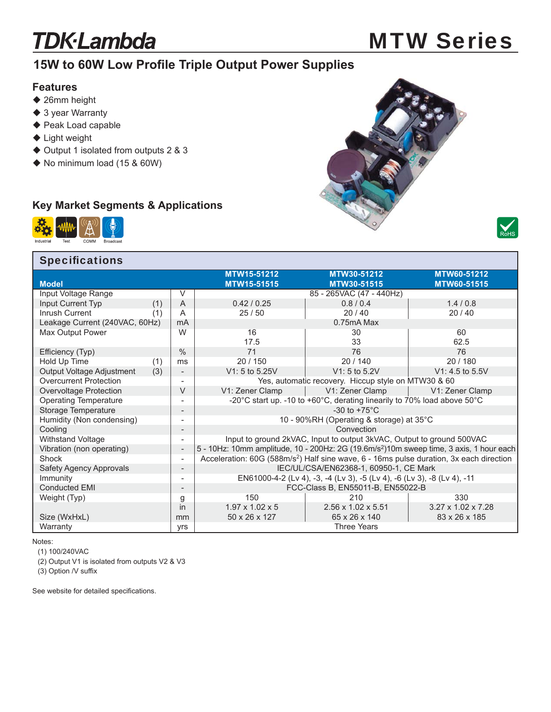# **TDK-Lambda**

# MTW Series

## **15W to 60W Low Profile Triple Output Power Supplies**

#### **Features**

- ◆ 26mm height
- ◆ 3 year Warranty
- ◆ Peak Load capable
- ◆ Light weight
- ◆ Output 1 isolated from outputs 2 & 3
- ◆ No minimum load (15 & 60W)

## **Key Market Segments & Applications**



#### **Specifications**

|                                |                              | MTW15-51212                                                                                         | MTW30-51212                    | MTW60-51212                    |  |
|--------------------------------|------------------------------|-----------------------------------------------------------------------------------------------------|--------------------------------|--------------------------------|--|
| <b>Model</b>                   |                              | MTW15-51515                                                                                         | MTW30-51515                    | MTW60-51515                    |  |
| Input Voltage Range            | V                            |                                                                                                     | 85 - 265VAC (47 - 440Hz)       |                                |  |
| Input Current Typ              | (1)<br>A                     | 0.42/0.25                                                                                           | 0.8/0.4                        | 1.4/0.8                        |  |
| Inrush Current                 | (1)<br>A                     | 25/50                                                                                               | 20/40                          | 20/40                          |  |
| Leakage Current (240VAC, 60Hz) | mA                           |                                                                                                     | 0.75mA Max                     |                                |  |
| Max Output Power               | W                            | 16                                                                                                  | 30                             | 60                             |  |
|                                |                              | 17.5                                                                                                | 33                             | 62.5                           |  |
| Efficiency (Typ)               | $\frac{0}{0}$                | 71                                                                                                  | 76                             | 76                             |  |
| Hold Up Time                   | (1)<br>ms                    | 20/150                                                                                              | 20/140                         | 20/180                         |  |
| Output Voltage Adjustment      | (3)<br>-                     | V1: 5 to 5.25V                                                                                      | V1: 5 to 5.2V                  | $V1: 4.5$ to 5.5V              |  |
| <b>Overcurrent Protection</b>  |                              | Yes, automatic recovery. Hiccup style on MTW30 & 60                                                 |                                |                                |  |
| Overvoltage Protection         | $\vee$                       | V1: Zener Clamp                                                                                     | V1: Zener Clamp                | V1: Zener Clamp                |  |
| <b>Operating Temperature</b>   | -                            | -20°C start up. -10 to +60°C, derating linearily to 70% load above 50°C                             |                                |                                |  |
| Storage Temperature            |                              | -30 to $+75^{\circ}$ C                                                                              |                                |                                |  |
| Humidity (Non condensing)      |                              | 10 - 90%RH (Operating & storage) at 35°C                                                            |                                |                                |  |
| Cooling                        | -                            | Convection                                                                                          |                                |                                |  |
| Withstand Voltage              |                              | Input to ground 2kVAC, Input to output 3kVAC, Output to ground 500VAC                               |                                |                                |  |
| Vibration (non operating)      | $\overline{\phantom{a}}$     | 5 - 10Hz: 10mm amplitude, 10 - 200Hz: 2G (19.6m/s <sup>2</sup> )10m sweep time, 3 axis, 1 hour each |                                |                                |  |
| Shock                          | $\qquad \qquad \blacksquare$ | Acceleration: 60G (588m/s <sup>2</sup> ) Half sine wave, 6 - 16ms pulse duration, 3x each direction |                                |                                |  |
| <b>Safety Agency Approvals</b> | $\overline{\phantom{a}}$     | IEC/UL/CSA/EN62368-1, 60950-1, CE Mark                                                              |                                |                                |  |
| Immunity                       |                              | EN61000-4-2 (Lv 4), -3, -4 (Lv 3), -5 (Lv 4), -6 (Lv 3), -8 (Lv 4), -11                             |                                |                                |  |
| <b>Conducted EMI</b>           | $\qquad \qquad \blacksquare$ | FCC-Class B, EN55011-B, EN55022-B                                                                   |                                |                                |  |
| Weight (Typ)                   | g                            | 150                                                                                                 | 210                            | 330                            |  |
|                                | in                           | $1.97 \times 1.02 \times 5$                                                                         | $2.56 \times 1.02 \times 5.51$ | $3.27 \times 1.02 \times 7.28$ |  |
| Size (WxHxL)                   | mm                           | 50 x 26 x 127                                                                                       | 65 x 26 x 140                  | 83 x 26 x 185                  |  |
| Warranty                       | <b>Vrs</b>                   |                                                                                                     | <b>Three Years</b>             |                                |  |

Notes:

(1) 100/240VAC

(2) Output V1 is isolated from outputs V2 & V3

(3) Option /V suffix

See website for detailed specifications.